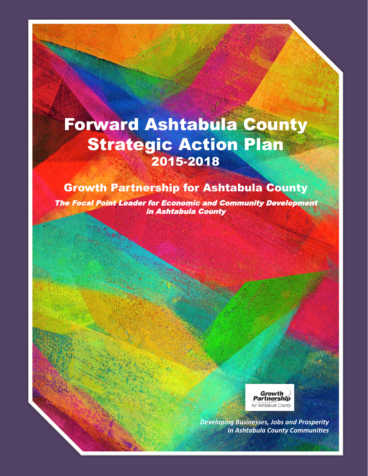# Forward Ashtabula County Strategic Action Plan 2015-2018

#### Growth Partnership for Ashtabula County

The Focal Point Leader for Economic and Community Development in Ashtabula County



**Developing Businesses, Jobs and Prosperity In Ashtabula County Communities**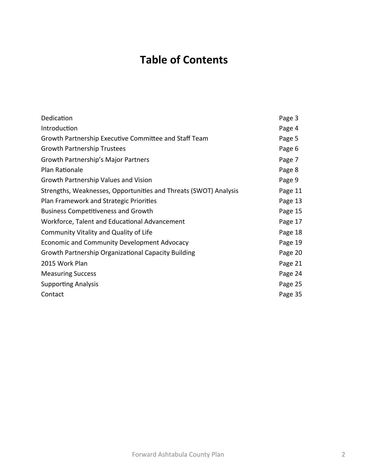## **Table of Contents**

| Dedication                                                       | Page 3  |
|------------------------------------------------------------------|---------|
| Introduction                                                     | Page 4  |
| Growth Partnership Executive Committee and Staff Team            | Page 5  |
| <b>Growth Partnership Trustees</b>                               | Page 6  |
| Growth Partnership's Major Partners                              | Page 7  |
| Plan Rationale                                                   | Page 8  |
| Growth Partnership Values and Vision                             | Page 9  |
| Strengths, Weaknesses, Opportunities and Threats (SWOT) Analysis | Page 11 |
| Plan Framework and Strategic Priorities                          | Page 13 |
| <b>Business Competitiveness and Growth</b>                       | Page 15 |
| Workforce, Talent and Educational Advancement                    | Page 17 |
| Community Vitality and Quality of Life                           | Page 18 |
| Economic and Community Development Advocacy                      | Page 19 |
| Growth Partnership Organizational Capacity Building              | Page 20 |
| 2015 Work Plan                                                   | Page 21 |
| <b>Measuring Success</b>                                         | Page 24 |
| <b>Supporting Analysis</b>                                       | Page 25 |
| Contact                                                          | Page 35 |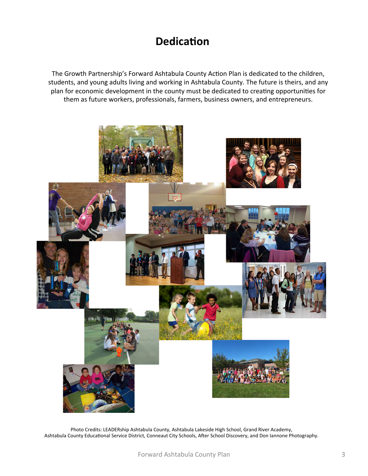### **Dedication**

The Growth Partnership's Forward Ashtabula County Action Plan is dedicated to the children, students, and young adults living and working in Ashtabula County. The future is theirs, and any plan for economic development in the county must be dedicated to creating opportunities for them as future workers, professionals, farmers, business owners, and entrepreneurs.



Photo Credits: LEADERship Ashtabula County, Ashtabula Lakeside High School, Grand River Academy, Ashtabula County Educational Service District, Conneaut City Schools, After School Discovery, and Don Iannone Photography.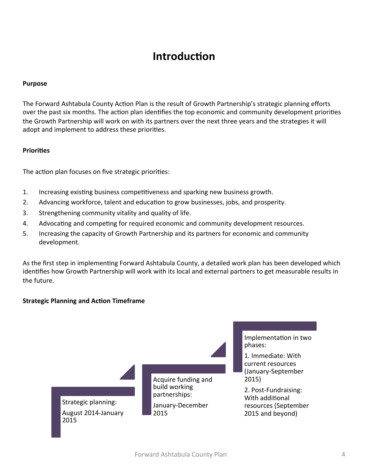### **Introduction**

#### **Purpose**

The Forward Ashtabula County Action Plan is the result of Growth Partnership's strategic planning efforts over the past six months. The action plan identifies the top economic and community development priorities the Growth Partnership will work on with its partners over the next three years and the strategies it will adopt and implement to address these priorities.

#### **Priorities**

The action plan focuses on five strategic priorities:

- 1. Increasing existing business competitiveness and sparking new business growth.
- 2. Advancing workforce, talent and education to grow businesses, jobs, and prosperity.
- 3. Strengthening community vitality and quality of life.
- 4. Advocating and competing for required economic and community development resources.
- 5. Increasing the capacity of Growth Partnership and its partners for economic and community development.

As the first step in implementing Forward Ashtabula County, a detailed work plan has been developed which identifies how Growth Partnership will work with its local and external partners to get measurable results in the future.

#### **Strategic Planning and Action Timeframe**

Strategic planning: August 2014-January 2015 

Acquire funding and build working partnerships: January-December 2015 

Implementation in two phases: 

1. Immediate: With current resources (January-September 2015) 

2. Post-Fundraising: With additional resources (September 2015 and beyond)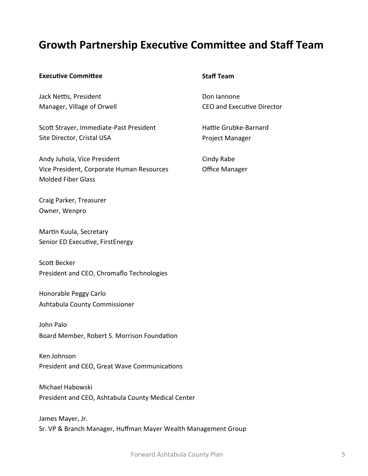#### **Growth Partnership Executive Committee and Staff Team**

#### **Executive Committee**

Jack Nettis, President Manager, Village of Orwell

Scott Strayer, Immediate-Past President Site Director, Cristal USA

Andy Juhola, Vice President Vice President, Corporate Human Resources Molded Fiber Glass 

Craig Parker, Treasurer Owner, Wenpro

Martin Kuula, Secretary Senior ED Executive, FirstEnergy

Scott Becker President and CEO, Chromaflo Technologies

Honorable Peggy Carlo Ashtabula County Commissioner 

John Palo Board Member, Robert S. Morrison Foundation

Ken Johnson President and CEO, Great Wave Communications

Michael Habowski President and CEO, Ashtabula County Medical Center

James Mayer, Jr. Sr. VP & Branch Manager, Huffman Mayer Wealth Management Group

#### **Staff Team**

Don lannone CEO and Executive Director

Hattie Grubke-Barnard Project Manager 

Cindy Rabe Office Manager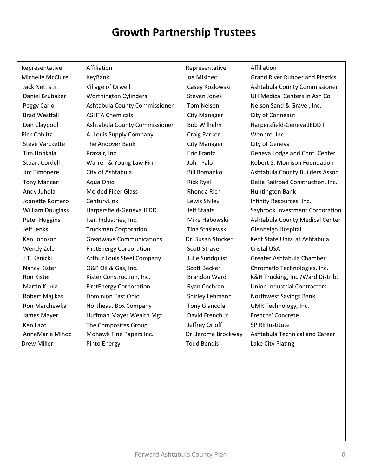## **Growth Partnership Trustees**

| Representative          | <b>Affiliation</b>              | Representative       | <b>Affiliation</b>                     |
|-------------------------|---------------------------------|----------------------|----------------------------------------|
| Michelle McClure        | KeyBank                         | Joe Misinec          | <b>Grand River Rubber and Plastics</b> |
| Jack Nettis Jr.         | Village of Orwell               | Casey Kozlowski      | Ashtabula County Commissioner          |
| Daniel Brubaker         | <b>Worthington Cylinders</b>    | <b>Steven Jones</b>  | UH Medical Centers in Ash Co           |
| Peggy Carlo             | Ashtabula County Commissioner   | <b>Tom Nelson</b>    | Nelson Sand & Gravel, Inc.             |
| <b>Brad Westfall</b>    | <b>ASHTA Chemicals</b>          | <b>City Manager</b>  | City of Conneaut                       |
| Dan Claypool            | Ashtabula County Commissioner   | <b>Bob Wilhelm</b>   | Harpersfield-Geneva JEDD II            |
| <b>Rick Coblitz</b>     | A. Louis Supply Company         | Craig Parker         | Wenpro, Inc.                           |
| <b>Steve Varckette</b>  | The Andover Bank                | City Manager         | City of Geneva                         |
| Tim Honkala             | Praxair, Inc.                   | <b>Eric Frantz</b>   | Geneva Lodge and Conf. Center          |
| <b>Stuart Cordell</b>   | Warren & Young Law Firm         | John Palo            | Robert S. Morrison Foundation          |
| Jim Timonere            | City of Ashtabula               | <b>Bill Romanko</b>  | Ashtabula County Builders Assoc.       |
| <b>Tony Mancari</b>     | Aqua Ohio                       | <b>Rick Ryel</b>     | Delta Railroad Construction, Inc.      |
| Andy Juhola             | <b>Molded Fiber Glass</b>       | Rhonda Rich          | <b>Huntington Bank</b>                 |
| Joanette Romero         | CenturyLink                     | Lewis Shiley         | Infinity Resources, Inc.               |
| <b>William Douglass</b> | Harpersfield-Geneva JEDD I      | <b>Jeff Staats</b>   | Saybrook Investment Corporation        |
| Peter Huggins           | Iten Industries, Inc.           | Mike Habowski        | Ashtabula County Medical Center        |
| Jeff Jenks              | <b>Truckmen Corporation</b>     | Tina Stasiewski      | Glenbeigh Hospital                     |
| Ken Johnson             | <b>Greatwave Communications</b> | Dr. Susan Stocker    | Kent State Univ. at Ashtabula          |
| Wendy Zele              | <b>FirstEnergy Corporation</b>  | Scott Strayer        | <b>Cristal USA</b>                     |
| J.T. Kanicki            | Arthur Louis Steel Company      | Julie Sundquist      | Greater Ashtabula Chamber              |
| Nancy Kister            | O&P Oil & Gas, Inc.             | Scott Becker         | Chromaflo Technologies, Inc.           |
| Ron Kister              | Kister Construction, Inc.       | <b>Brandon Ward</b>  | K&H Trucking, Inc./Ward Distrib.       |
| Martin Kuula            | <b>FirstEnergy Corporation</b>  | Ryan Cochran         | <b>Union Industrial Contractors</b>    |
| Robert Majikas          | <b>Dominion East Ohio</b>       | Shirley Lehmann      | Northwest Savings Bank                 |
| Ron Marchewka           | Northeast Box Company           | <b>Tony Giancola</b> | GMR Technology, Inc.                   |
| James Mayer             | Huffman Mayer Wealth Mgt.       | David French Jr.     | Frenchs' Concrete                      |
| Ken Lazo                | The Composites Group            | Jeffrey Orloff       | <b>SPIRE Institute</b>                 |
| AnneMarie Mihoci        | Mohawk Fine Papers Inc.         | Dr. Jerome Brockway  | Ashtabula Technical and Career         |
| Drew Miller             | Pinto Energy                    | <b>Todd Bendis</b>   | Lake City Plating                      |
|                         |                                 |                      |                                        |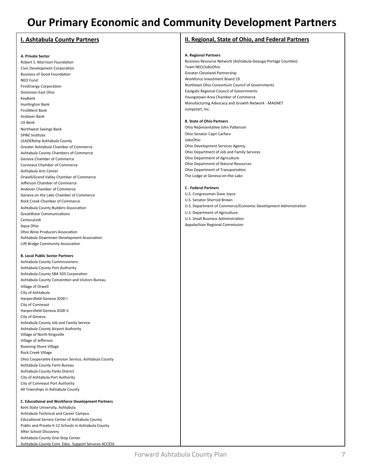### **Our Primary Economic and Community Development Partners**

#### **I. Ashtabula County Partners**

#### **A. Private Sector**

Robert S. Morrison Foundation Civic Development Corporation **Business of Good Foundation** NEO Fund FirstEnergy Corporation Dominion East Ohio KeyBank Huntington Bank FirstMerit Bank Andover Bank US Bank Northwest Savings Bank SPIRE Institute LEADERship Ashtabula County Greater Ashtabula Chamber of Commerce Ashtabula County Chambers of Commerce Geneva Chamber of Commerce Conneaut Chamber of Commerce Ashtabula Arts Center Orwell/Grand Valley Chamber of Commerce Jefferson Chamber of Commerce Andover Chamber of Commerce Geneva on the Lake Chamber of Commerce Rock Creek Chamber of Commerce Ashtabula County Builders Association GreatWave Communications **CenturyLink** Aqua Ohio Ohio Wine Producers Association Ashtabula Downtown Development Association Liift Bridge Community Association

#### **B. Local Public Sector Partners**

Ashtabula County Commissioners Ashtabula County Port Authority Ashtabula County SBA 503 Corporation Ashtabula County Convention and Visitors Bureau Village of Orwell City of Ashtabula Harpersfield-Geneva JEDD I City of Conneaut Harpersfield-Geneva JEDD II City of Geneva Ashtabula County Job and Family Service Ashtabula County Airport Authority Village of North Kingsville Village of Jefferson Roaming Shore Village Rock Creek Village Ohio Cooperative Extension Service, Ashtabula County Ashtabula County Farm Bureau Ashtabula County Parks District City of Ashtabula Port Authority City of Conneaut Port Authority All Townships in Ashtabula County

#### **C.** Educational and Workforce Development Partners Kent State University, Ashtabula Ashtabula Technical and Career Campus Educational Service Center of Ashtabula County Public and Private K-12 Schools in Ashtabula County After School Discovery Ashtabula County One-Stop Center Ashtabula County Cont. Educ. Support Services ACCESS

#### **II. Regional, State of Ohio, and Federal Partners**

#### **A. Regional Partners**

Business Resource Network (Ashtabula-Geauga-Portage Counties) Team NEO/JobsOhio Greater Cleveland Partnership Workforce Investment Board 19 Northeast Ohio Consortium Council of Governments Eastgate Regional Council of Governments Youngstown Area Chamber of Commerce Manufacturing Advocacy and Growth Network - MAGNET Jumpstart, Inc.

#### **B.** State of Ohio Partners

Ohio Representative John Patterson Ohio Senator Capri Carfaro JobsOhio Ohio Development Services Agency Ohio Department of Job and Family Services Ohio Department of Agriculture Ohio Department of Natural Resources Ohio Department of Transportation The Lodge at Geneva-on-the-Lake

#### **C . Federal Partners**

U.S. Congressman Dave Joyce U.S. Senator Sherrod Brown U.S. Department of Commerce/Economic Development Administration U.S. Department of Agriculture U.S. Small Business Administration Appalachian Regional Commission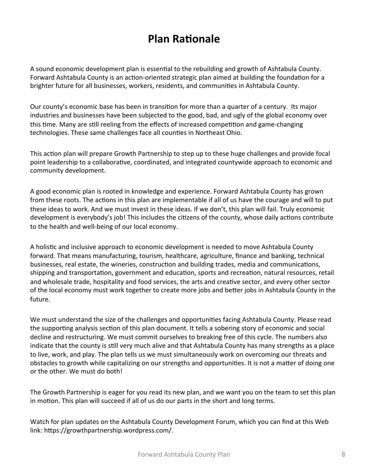### **Plan Rationale**

A sound economic development plan is essential to the rebuilding and growth of Ashtabula County. Forward Ashtabula County is an action-oriented strategic plan aimed at building the foundation for a brighter future for all businesses, workers, residents, and communities in Ashtabula County.

Our county's economic base has been in transition for more than a quarter of a century. Its major industries and businesses have been subjected to the good, bad, and ugly of the global economy over this time. Many are still reeling from the effects of increased competition and game-changing technologies. These same challenges face all counties in Northeast Ohio.

This action plan will prepare Growth Partnership to step up to these huge challenges and provide focal point leadership to a collaborative, coordinated, and integrated countywide approach to economic and community development.

A good economic plan is rooted in knowledge and experience. Forward Ashtabula County has grown from these roots. The actions in this plan are implementable if all of us have the courage and will to put these ideas to work. And we must invest in these ideas. If we don't, this plan will fail. Truly economic development is everybody's job! This includes the citizens of the county, whose daily actions contribute to the health and well-being of our local economy.

A holistic and inclusive approach to economic development is needed to move Ashtabula County forward. That means manufacturing, tourism, healthcare, agriculture, finance and banking, technical businesses, real estate, the wineries, construction and building trades, media and communications, shipping and transportation, government and education, sports and recreation, natural resources, retail and wholesale trade, hospitality and food services, the arts and creative sector, and every other sector of the local economy must work together to create more jobs and better jobs in Ashtabula County in the future. 

We must understand the size of the challenges and opportunities facing Ashtabula County. Please read the supporting analysis section of this plan document. It tells a sobering story of economic and social decline and restructuring. We must commit ourselves to breaking free of this cycle. The numbers also indicate that the county is still very much alive and that Ashtabula County has many strengths as a place to live, work, and play. The plan tells us we must simultaneously work on overcoming our threats and obstacles to growth while capitalizing on our strengths and opportunities. It is not a matter of doing one or the other. We must do both!

The Growth Partnership is eager for you read its new plan, and we want you on the team to set this plan in motion. This plan will succeed if all of us do our parts in the short and long terms.

Watch for plan updates on the Ashtabula County Development Forum, which you can find at this Web link: https://growthpartnership.wordpress.com/.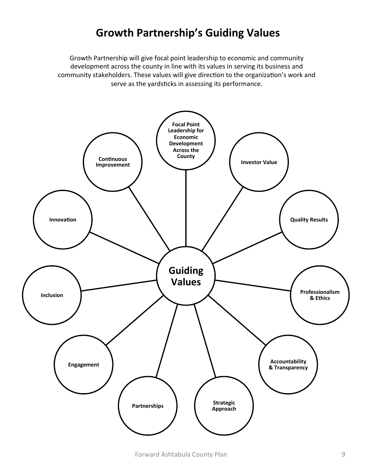### **Growth Partnership's Guiding Values**

Growth Partnership will give focal point leadership to economic and community development across the county in line with its values in serving its business and community stakeholders. These values will give direction to the organization's work and serve as the yardsticks in assessing its performance.

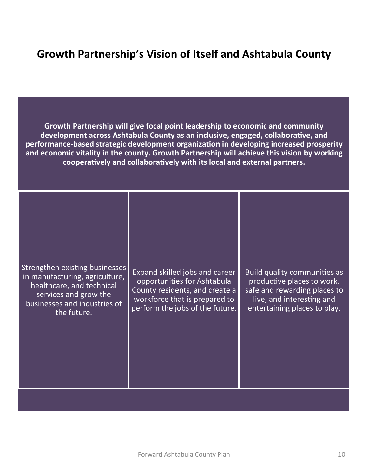### **Growth Partnership's Vision of Itself and Ashtabula County**

Growth Partnership will give focal point leadership to economic and community development across Ashtabula County as an inclusive, engaged, collaborative, and performance-based strategic development organization in developing increased prosperity and economic vitality in the county. Growth Partnership will achieve this vision by working cooperatively and collaboratively with its local and external partners.

|--|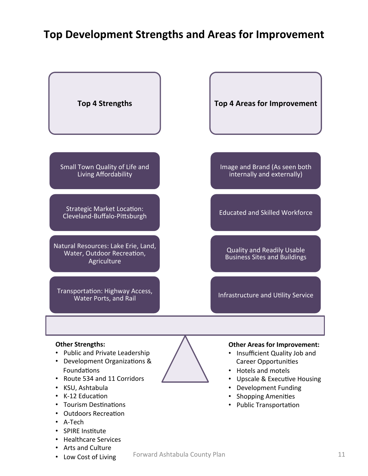#### **Top Development Strengths and Areas for Improvement**



- Shopping Amenities
- Public Transportation
- K-12 Education
- Tourism Destinations
- Outdoors Recreation
- A-Tech
- SPIRE Institute
- Healthcare Services
- Arts and Culture
- Low Cost of Living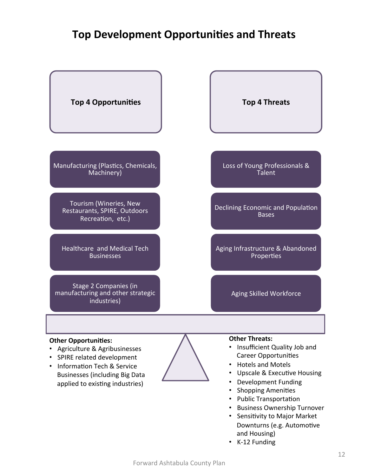### **Top Development Opportunities and Threats**



- Business Ownership Turnover
- Sensitivity to Major Market Downturns (e.g. Automotive and Housing)
- K-12 Funding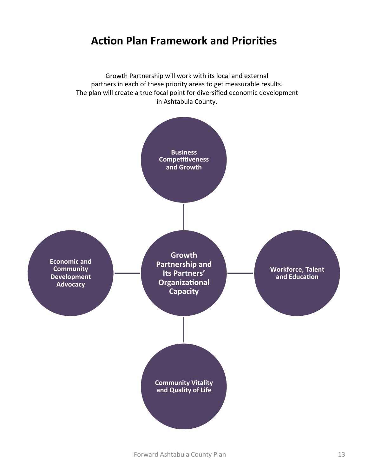#### **Action Plan Framework and Priorities**

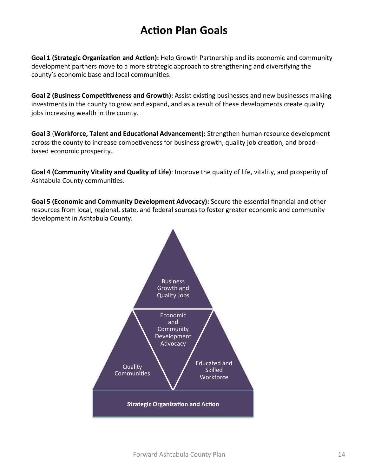### **Action Plan Goals**

**Goal 1 (Strategic Organization and Action):** Help Growth Partnership and its economic and community development partners move to a more strategic approach to strengthening and diversifying the county's economic base and local communities.

Goal 2 (Business Competitiveness and Growth): Assist existing businesses and new businesses making investments in the county to grow and expand, and as a result of these developments create quality jobs increasing wealth in the county.

**Goal 3 (Workforce, Talent and Educational Advancement):** Strengthen human resource development across the county to increase competiveness for business growth, quality job creation, and broadbased economic prosperity.

**Goal 4 (Community Vitality and Quality of Life):** Improve the quality of life, vitality, and prosperity of Ashtabula County communities.

Goal 5 (Economic and Community Development Advocacy): Secure the essential financial and other resources from local, regional, state, and federal sources to foster greater economic and community development in Ashtabula County.

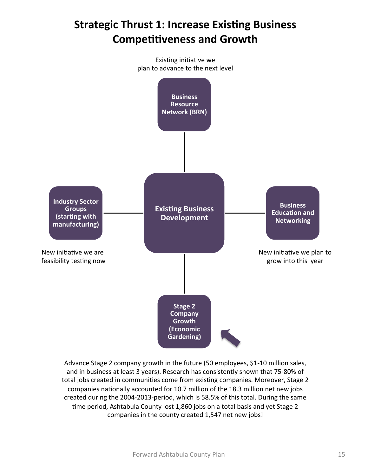## **Strategic Thrust 1: Increase Existing Business Competitiveness and Growth**



Advance Stage 2 company growth in the future (50 employees, \$1-10 million sales, and in business at least 3 years). Research has consistently shown that 75-80% of total jobs created in communities come from existing companies. Moreover, Stage 2 companies nationally accounted for 10.7 million of the 18.3 million net new jobs created during the 2004-2013-period, which is 58.5% of this total. During the same time period, Ashtabula County lost 1,860 jobs on a total basis and yet Stage 2 companies in the county created 1,547 net new jobs!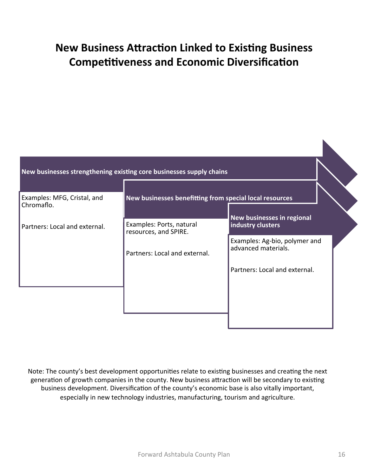## **New Business Attraction Linked to Existing Business Competitiveness and Economic Diversification**

| Examples: MFG, Cristal, and<br>Chromaflo. | New businesses benefitting from special local resources |                                                      |
|-------------------------------------------|---------------------------------------------------------|------------------------------------------------------|
| Partners: Local and external.             | Examples: Ports, natural<br>resources, and SPIRE.       | New businesses in regional<br>industry clusters      |
|                                           | Partners: Local and external.                           | Examples: Ag-bio, polymer and<br>advanced materials. |
|                                           |                                                         | Partners: Local and external.                        |
|                                           |                                                         |                                                      |

Note: The county's best development opportunities relate to existing businesses and creating the next generation of growth companies in the county. New business attraction will be secondary to existing business development. Diversification of the county's economic base is also vitally important, especially in new technology industries, manufacturing, tourism and agriculture.

K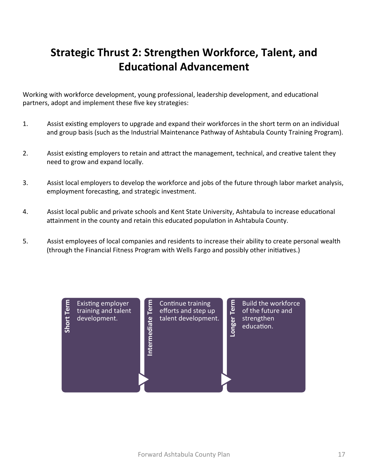## **Strategic Thrust 2: Strengthen Workforce, Talent, and Educational Advancement**

Working with workforce development, young professional, leadership development, and educational partners, adopt and implement these five key strategies:

- 1. Assist existing employers to upgrade and expand their workforces in the short term on an individual and group basis (such as the Industrial Maintenance Pathway of Ashtabula County Training Program).
- 2. Assist existing employers to retain and attract the management, technical, and creative talent they need to grow and expand locally.
- 3. Assist local employers to develop the workforce and jobs of the future through labor market analysis, employment forecasting, and strategic investment.
- 4. Assist local public and private schools and Kent State University, Ashtabula to increase educational attainment in the county and retain this educated population in Ashtabula County.
- 5. Assist employees of local companies and residents to increase their ability to create personal wealth (through the Financial Fitness Program with Wells Fargo and possibly other initiatives.)

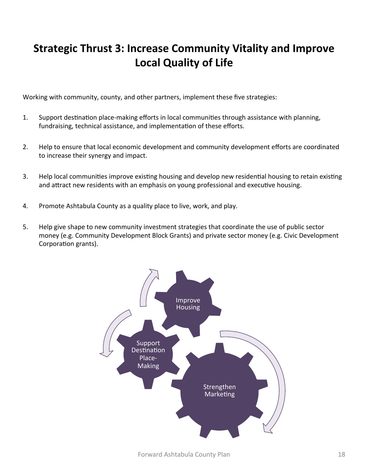## **Strategic Thrust 3: Increase Community Vitality and Improve Local Quality of Life**

Working with community, county, and other partners, implement these five strategies:

- 1. Support destination place-making efforts in local communities through assistance with planning, fundraising, technical assistance, and implementation of these efforts.
- 2. Help to ensure that local economic development and community development efforts are coordinated to increase their synergy and impact.
- 3. Help local communities improve existing housing and develop new residential housing to retain existing and attract new residents with an emphasis on young professional and executive housing.
- 4. Promote Ashtabula County as a quality place to live, work, and play.
- 5. Help give shape to new community investment strategies that coordinate the use of public sector money (e.g. Community Development Block Grants) and private sector money (e.g. Civic Development Corporation grants).

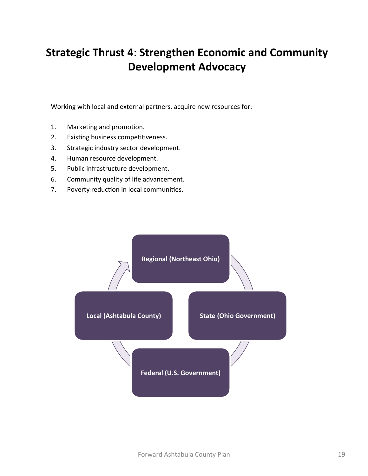## **Strategic Thrust 4: Strengthen Economic and Community Development Advocacy**

Working with local and external partners, acquire new resources for:

- 1. Marketing and promotion.
- 2. Existing business competitiveness.
- 3. Strategic industry sector development.
- 4. Human resource development.
- 5. Public infrastructure development.
- 6. Community quality of life advancement.
- 7. Poverty reduction in local communities.

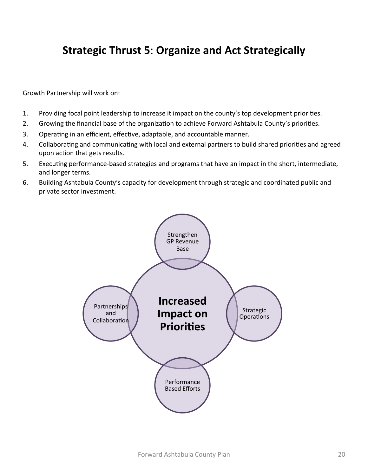### **Strategic Thrust 5: Organize and Act Strategically**

Growth Partnership will work on:

- 1. Providing focal point leadership to increase it impact on the county's top development priorities.
- 2. Growing the financial base of the organization to achieve Forward Ashtabula County's priorities.
- 3. Operating in an efficient, effective, adaptable, and accountable manner.
- 4. Collaborating and communicating with local and external partners to build shared priorities and agreed upon action that gets results.
- 5. Executing performance-based strategies and programs that have an impact in the short, intermediate, and longer terms.
- 6. Building Ashtabula County's capacity for development through strategic and coordinated public and private sector investment.

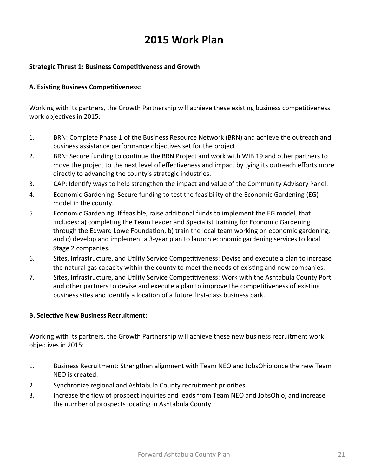### **2015 Work Plan**

#### **Strategic Thrust 1: Business Competitiveness and Growth**

#### **A. Existing Business Competitiveness:**

Working with its partners, the Growth Partnership will achieve these existing business competitiveness work objectives in 2015:

- 1. BRN: Complete Phase 1 of the Business Resource Network (BRN) and achieve the outreach and business assistance performance objectives set for the project.
- 2. BRN: Secure funding to continue the BRN Project and work with WIB 19 and other partners to move the project to the next level of effectiveness and impact by tying its outreach efforts more directly to advancing the county's strategic industries.
- 3. CAP: Identify ways to help strengthen the impact and value of the Community Advisory Panel.
- 4. Economic Gardening: Secure funding to test the feasibility of the Economic Gardening (EG) model in the county.
- 5. Economic Gardening: If feasible, raise additional funds to implement the EG model, that includes: a) completing the Team Leader and Specialist training for Economic Gardening through the Edward Lowe Foundation, b) train the local team working on economic gardening; and c) develop and implement a 3-year plan to launch economic gardening services to local Stage 2 companies.
- 6. Sites, Infrastructure, and Utility Service Competitiveness: Devise and execute a plan to increase the natural gas capacity within the county to meet the needs of existing and new companies.
- 7. Sites, Infrastructure, and Utility Service Competitiveness: Work with the Ashtabula County Port and other partners to devise and execute a plan to improve the competitiveness of existing business sites and identify a location of a future first-class business park.

#### **B. Selective New Business Recruitment:**

Working with its partners, the Growth Partnership will achieve these new business recruitment work objectives in 2015:

- 1. Business Recruitment: Strengthen alignment with Team NEO and JobsOhio once the new Team NEO is created.
- 2. Synchronize regional and Ashtabula County recruitment priorities.
- 3. Increase the flow of prospect inquiries and leads from Team NEO and JobsOhio, and increase the number of prospects locating in Ashtabula County.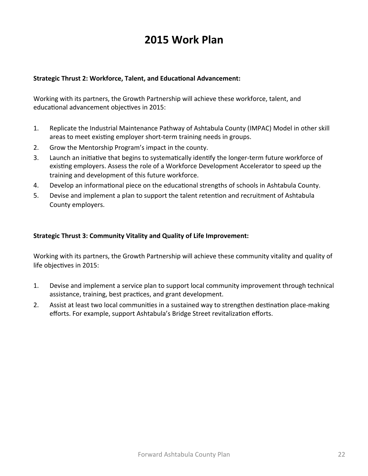### **2015 Work Plan**

#### **Strategic Thrust 2: Workforce, Talent, and Educational Advancement:**

Working with its partners, the Growth Partnership will achieve these workforce, talent, and educational advancement objectives in 2015:

- 1. Replicate the Industrial Maintenance Pathway of Ashtabula County (IMPAC) Model in other skill areas to meet existing employer short-term training needs in groups.
- 2. Grow the Mentorship Program's impact in the county.
- 3. Launch an initiative that begins to systematically identify the longer-term future workforce of existing employers. Assess the role of a Workforce Development Accelerator to speed up the training and development of this future workforce.
- 4. Develop an informational piece on the educational strengths of schools in Ashtabula County.
- 5. Devise and implement a plan to support the talent retention and recruitment of Ashtabula County employers.

#### **Strategic Thrust 3: Community Vitality and Quality of Life Improvement:**

Working with its partners, the Growth Partnership will achieve these community vitality and quality of life objectives in 2015:

- 1. Devise and implement a service plan to support local community improvement through technical assistance, training, best practices, and grant development.
- 2. Assist at least two local communities in a sustained way to strengthen destination place-making efforts. For example, support Ashtabula's Bridge Street revitalization efforts.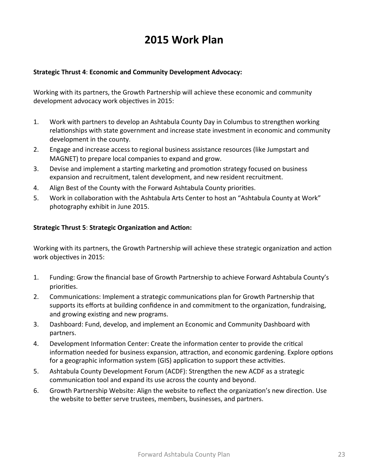### **2015 Work Plan**

#### **Strategic Thrust 4: Economic and Community Development Advocacy:**

Working with its partners, the Growth Partnership will achieve these economic and community development advocacy work objectives in 2015:

- 1. Work with partners to develop an Ashtabula County Day in Columbus to strengthen working relationships with state government and increase state investment in economic and community development in the county.
- 2. Engage and increase access to regional business assistance resources (like Jumpstart and MAGNET) to prepare local companies to expand and grow.
- 3. Devise and implement a starting marketing and promotion strategy focused on business expansion and recruitment, talent development, and new resident recruitment.
- 4. Align Best of the County with the Forward Ashtabula County priorities.
- 5. Work in collaboration with the Ashtabula Arts Center to host an "Ashtabula County at Work" photography exhibit in June 2015.

#### **Strategic Thrust 5: Strategic Organization and Action:**

Working with its partners, the Growth Partnership will achieve these strategic organization and action work objectives in 2015:

- 1. Funding: Grow the financial base of Growth Partnership to achieve Forward Ashtabula County's priorities.
- 2. Communications: Implement a strategic communications plan for Growth Partnership that supports its efforts at building confidence in and commitment to the organization, fundraising, and growing existing and new programs.
- 3. Dashboard: Fund, develop, and implement an Economic and Community Dashboard with partners.
- 4. Development Information Center: Create the information center to provide the critical information needed for business expansion, attraction, and economic gardening. Explore options for a geographic information system (GIS) application to support these activities.
- 5. Ashtabula County Development Forum (ACDF): Strengthen the new ACDF as a strategic communication tool and expand its use across the county and beyond.
- 6. Growth Partnership Website: Align the website to reflect the organization's new direction. Use the website to better serve trustees, members, businesses, and partners.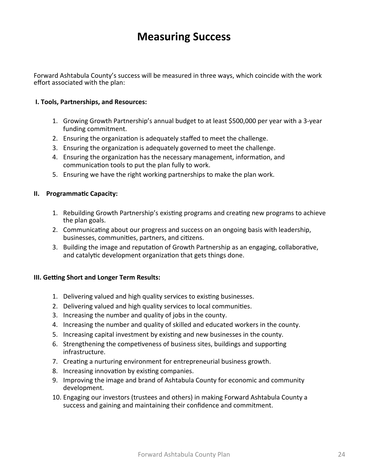### **Measuring Success**

Forward Ashtabula County's success will be measured in three ways, which coincide with the work effort associated with the plan:

#### **I. Tools, Partnerships, and Resources:**

- 1. Growing Growth Partnership's annual budget to at least \$500,000 per year with a 3-year funding commitment.
- 2. Ensuring the organization is adequately staffed to meet the challenge.
- 3. Ensuring the organization is adequately governed to meet the challenge.
- 4. Ensuring the organization has the necessary management, information, and communication tools to put the plan fully to work.
- 5. Ensuring we have the right working partnerships to make the plan work.

#### **II.** Programmatic Capacity:

- 1. Rebuilding Growth Partnership's existing programs and creating new programs to achieve the plan goals.
- 2. Communicating about our progress and success on an ongoing basis with leadership, businesses, communities, partners, and citizens.
- 3. Building the image and reputation of Growth Partnership as an engaging, collaborative, and catalytic development organization that gets things done.

#### **III. Getting Short and Longer Term Results:**

- 1. Delivering valued and high quality services to existing businesses.
- 2. Delivering valued and high quality services to local communities.
- 3. Increasing the number and quality of jobs in the county.
- 4. Increasing the number and quality of skilled and educated workers in the county.
- 5. Increasing capital investment by existing and new businesses in the county.
- 6. Strengthening the competiveness of business sites, buildings and supporting infrastructure.
- 7. Creating a nurturing environment for entrepreneurial business growth.
- 8. Increasing innovation by existing companies.
- 9. Improving the image and brand of Ashtabula County for economic and community development.
- 10. Engaging our investors (trustees and others) in making Forward Ashtabula County a success and gaining and maintaining their confidence and commitment.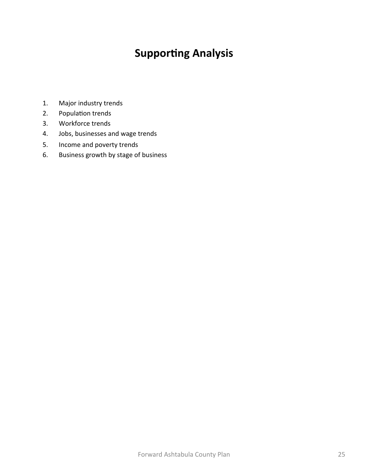## **Supporting Analysis**

- 1. Major industry trends
- 2. Population trends
- 3. Workforce trends
- 4. Jobs, businesses and wage trends
- 5. Income and poverty trends
- 6. Business growth by stage of business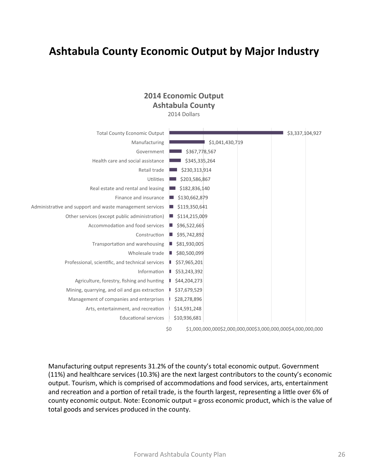### **Ashtabula County Economic Output by Major Industry**

#### **2014 Economic Output Ashtabula County**

2014 Dollars

| <b>Total County Economic Output</b>                      |                                                              | \$3,337,104,927 |
|----------------------------------------------------------|--------------------------------------------------------------|-----------------|
| Manufacturing                                            | \$1,041,430,719                                              |                 |
| Government                                               | \$367,778,567                                                |                 |
| Health care and social assistance                        | \$345,335,264                                                |                 |
| Retail trade                                             | \$230,313,914                                                |                 |
| Utilities                                                | \$203,586,867                                                |                 |
| Real estate and rental and leasing                       | \$182,836,140                                                |                 |
| Finance and insurance                                    | \$130,662,879                                                |                 |
| Administrative and support and waste management services | \$119,350,641                                                |                 |
| Other services (except public administration)            | \$114,215,009                                                |                 |
| Accommodation and food services                          | \$96,522,665<br>ш                                            |                 |
| Construction                                             | \$95,742,892                                                 |                 |
| Transportation and warehousing                           | \$81,930,005<br>ш                                            |                 |
| Wholesale trade                                          | \$80,500,099                                                 |                 |
| Professional, scientific, and technical services         | \$57,965,201                                                 |                 |
| Information                                              | \$53,243,392                                                 |                 |
| Agriculture, forestry, fishing and hunting               | \$44,204,273                                                 |                 |
| Mining, quarrying, and oil and gas extraction            | \$37,679,529                                                 |                 |
| Management of companies and enterprises                  | \$28,278,896                                                 |                 |
| Arts, entertainment, and recreation                      | \$14,591,248                                                 |                 |
| <b>Educational services</b>                              | \$10,936,681                                                 |                 |
| \$0                                                      | \$1,000,000,000\$2,000,000,000\$3,000,000,000\$4,000,000,000 |                 |

Manufacturing output represents 31.2% of the county's total economic output. Government (11%) and healthcare services (10.3%) are the next largest contributors to the county's economic output. Tourism, which is comprised of accommodations and food services, arts, entertainment and recreation and a portion of retail trade, is the fourth largest, representing a little over 6% of county economic output. Note: Economic output = gross economic product, which is the value of total goods and services produced in the county.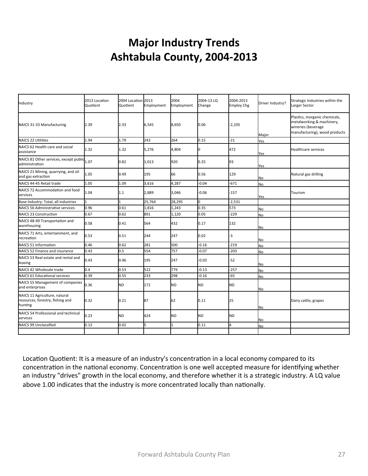## **Major Industry Trends** Ashtabula County, 2004-2013

| Industry                                                                     | 2013 Location<br>Quotient | 2004 Location 2013<br>Quotient | Employment | 2004<br>Employment | 2004-13 LO<br>Change | 2004-2013<br><b>Employ Chg</b> | Driver Industry? | Strategic Industries within the<br>Larger Sector                                                                   |
|------------------------------------------------------------------------------|---------------------------|--------------------------------|------------|--------------------|----------------------|--------------------------------|------------------|--------------------------------------------------------------------------------------------------------------------|
| NAICS 31-33 Manufacturing                                                    | 2.39                      | 2.33                           | 6,545      | 8,650              | 0.06                 | $-2,105$                       | Major            | Plastics, inorganic chemicals,<br>metalworking & machinery,<br>wineries (beverage<br>manufacturing), wood products |
| NAICS 22 Utilities                                                           | 1.94                      | 1.79                           | 243        | 264                | 0.15                 | $-21$                          | Yes              |                                                                                                                    |
| NAICS 62 Health care and social<br>assistance                                | 1.32                      | 1.32                           | 5,276      | 4,804              |                      | 472                            | Yes              | <b>Healthcare services</b>                                                                                         |
| NAICS 81 Other services, except public 1.07<br>administration                |                           | 0.82                           | 1,013      | 920                | 0.25                 | 93                             | Yes              |                                                                                                                    |
| NAICS 21 Mining, quarrying, and oil<br>and gas extraction                    | 1.05                      | 0.49                           | 195        | 66                 | 0.56                 | 129                            | No               | Natural gas drilling                                                                                               |
| NAICS 44-45 Retail trade                                                     | 1.05                      | 1.09                           | 3,616      | 4,287              | $-0.04$              | $-671$                         | <b>No</b>        |                                                                                                                    |
| NAICS 72 Accommodation and food<br>services                                  | 1.04                      | 1.1                            | 2,889      | 3,046              | $-0.06$              | $-157$                         | Yes              | Tourism                                                                                                            |
| Base Industry: Total, all industries                                         |                           |                                | 25,764     | 28,295             |                      | $-2,531$                       |                  |                                                                                                                    |
| NAICS 56 Administrative services                                             | 0.96                      | 0.61                           | 1,816      | 1,243              | 0.35                 | 573                            | No               |                                                                                                                    |
| NAICS 23 Construction                                                        | 0.67                      | 0.62                           | 891        | 1,120              | 0.05                 | $-229$                         | No               |                                                                                                                    |
| NAICS 48-49 Transportation and<br>warehousing                                | 0.58                      | 0.41                           | 564        | 432                | 0.17                 | 132                            | No               |                                                                                                                    |
| NAICS 71 Arts, entertainment, and<br>recreation                              | 0.53                      | 0.51                           | 244        | 247                | 0.02                 | -3                             | No               |                                                                                                                    |
| NAICS 51 Information                                                         | 0.46                      | 0.62                           | 281        | 500                | $-0.16$              | $-219$                         | No               |                                                                                                                    |
| NAICS 52 Finance and insurance                                               | 0.43                      | 0.5                            | 554        | 757                | $-0.07$              | $-203$                         | <b>No</b>        |                                                                                                                    |
| NAICS 53 Real estate and rental and<br>leasing                               | 0.43                      | 0.46                           | 195        | 247                | $-0.03$              | $-52$                          | No               |                                                                                                                    |
| NAICS 42 Wholesale trade                                                     | 0.4                       | 0.53                           | 522        | 779                | $-0.13$              | $-257$                         | No               |                                                                                                                    |
| NAICS 61 Educational services                                                | 0.39                      | 0.55                           | 233        | 298                | $-0.16$              | $-65$                          | No               |                                                                                                                    |
| NAICS 55 Management of companies<br>and enterprises                          | 0.36                      | ND                             | 172        | <b>ND</b>          | <b>ND</b>            | <b>ND</b>                      | No               |                                                                                                                    |
| NAICS 11 Agriculture, natural<br>resources, forestry, fishing and<br>hunting | 0.32                      | 0.21                           | 87         | 62                 | 0.11                 | 25                             | No               | Dairy cattle, grapes                                                                                               |
| NAICS 54 Professional and technical<br>services                              | 0.23                      | ND                             | 424        | <b>ND</b>          | <b>ND</b>            | <b>ND</b>                      | No               |                                                                                                                    |
| NAICS 99 Unclassified                                                        | 0.13                      | 0.02                           | k          | 1                  | 0.11                 | 4                              | No               |                                                                                                                    |
|                                                                              |                           |                                |            |                    |                      |                                |                  |                                                                                                                    |

Location Quotient: It is a measure of an industry's concentration in a local economy compared to its concentration in the national economy. Concentration is one well accepted measure for identifying whether an industry "drives" growth in the local economy, and therefore whether it is a strategic industry. A LQ value above 1.00 indicates that the industry is more concentrated locally than nationally.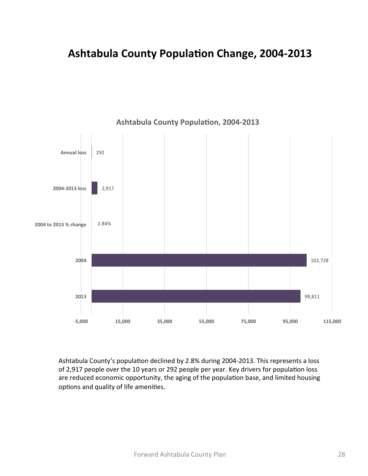### **Ashtabula County Population Change, 2004-2013**



**Ashtabula County Population, 2004-2013** 

Ashtabula County's population declined by 2.8% during 2004-2013. This represents a loss of 2,917 people over the 10 years or 292 people per year. Key drivers for population loss are reduced economic opportunity, the aging of the population base, and limited housing options and quality of life amenities.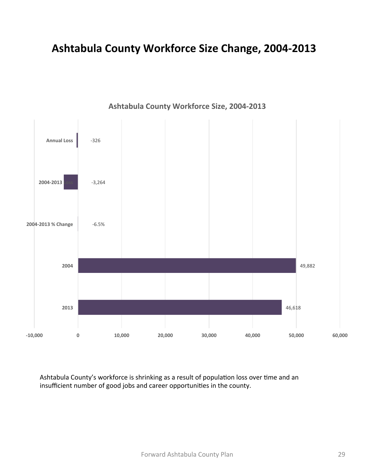### **Ashtabula County Workforce Size Change, 2004-2013**



Ashtabula County Workforce Size, 2004-2013

Ashtabula County's workforce is shrinking as a result of population loss over time and an insufficient number of good jobs and career opportunities in the county.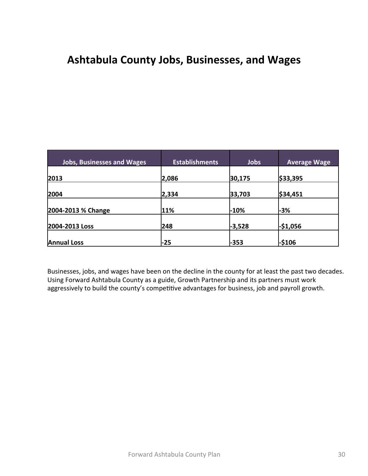### Ashtabula County Jobs, Businesses, and Wages

| <b>Jobs, Businesses and Wages</b> | <b>Establishments</b> | Jobs   | <b>Average Wage</b> |
|-----------------------------------|-----------------------|--------|---------------------|
| 2013                              | 2,086                 | 30,175 | \$33,395            |
| 2004                              | 2,334                 | 33,703 | \$34,451            |
| 2004-2013 % Change                | 11%                   | -10%   | $-3%$               |
| 2004-2013 Loss                    | 248                   | -3,528 | $-$1,056$           |
| <b>Annual Loss</b>                | $-25$                 | $-353$ | -\$106              |

Businesses, jobs, and wages have been on the decline in the county for at least the past two decades. Using Forward Ashtabula County as a guide, Growth Partnership and its partners must work aggressively to build the county's competitive advantages for business, job and payroll growth.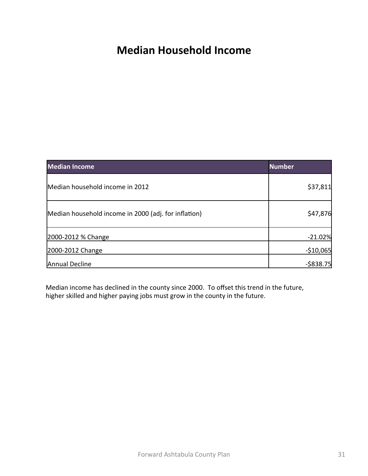### **Median Household Income**

| <b>Median Income</b>                                 | <b>Number</b> |
|------------------------------------------------------|---------------|
| Median household income in 2012                      | \$37,811      |
| Median household income in 2000 (adj. for inflation) | \$47,876      |
| 2000-2012 % Change                                   | $-21.02%$     |
| 2000-2012 Change                                     | $-510,065$    |
| Annual Decline                                       | $-$ \$838.75  |

Median income has declined in the county since 2000. To offset this trend in the future, higher skilled and higher paying jobs must grow in the county in the future.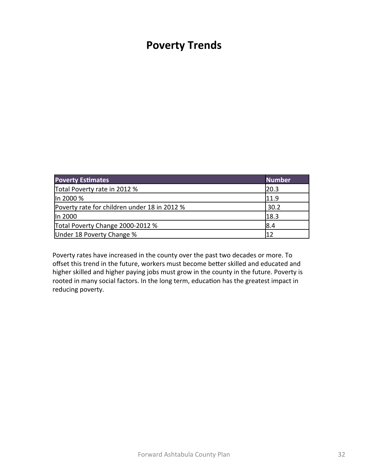#### **Poverty Trends**

| <b>Poverty Estimates</b>                     | <b>Number</b> |
|----------------------------------------------|---------------|
| Total Poverty rate in 2012 %                 | 20.3          |
| In 2000 %                                    | 11.9          |
| Poverty rate for children under 18 in 2012 % | 30.2          |
| In 2000                                      | 18.3          |
| Total Poverty Change 2000-2012 %             | 8.4           |
| Under 18 Poverty Change %                    | 11 J          |

Poverty rates have increased in the county over the past two decades or more. To offset this trend in the future, workers must become better skilled and educated and higher skilled and higher paying jobs must grow in the county in the future. Poverty is rooted in many social factors. In the long term, education has the greatest impact in reducing poverty.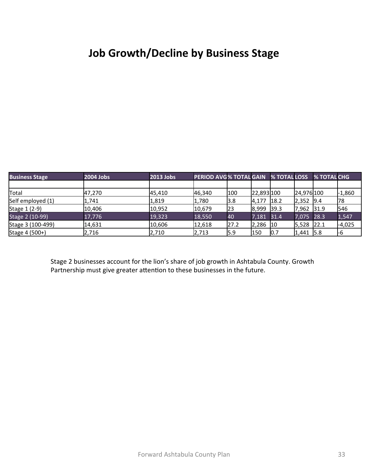## **Job Growth/Decline by Business Stage**

| <b>Business Stage</b> | 2004 Jobs | 2013 Jobs | PERIOD AVG% TOTAL GAIN % TOTAL LOSS |      |            |      |            | % TOTAL CHG |          |
|-----------------------|-----------|-----------|-------------------------------------|------|------------|------|------------|-------------|----------|
|                       |           |           |                                     |      |            |      |            |             |          |
| Total                 | 47,270    | 45,410    | 46,340                              | 100  | 22,893 100 |      | 24,976 100 |             | $-1,860$ |
| Self employed (1)     | 1,741     | 1,819     | 1,780                               | 3.8  | 4,177      | 18.2 | 2,352 9.4  |             | 78       |
| Stage 1 (2-9)         | 10.406    | 10,952    | 10,679                              | 23   | 8,999 39.3 |      | 7,962 31.9 |             | 546      |
| Stage 2 (10-99)       | 17,776    | 19,323    | 18,550                              | 40   | 7,181 31.4 |      | 7,075 28.3 |             | 1,547    |
| Stage 3 (100-499)     | 14,631    | 10,606    | 12,618                              | 27.2 | 2,286 10   |      | 5,528      | 22.1        | $-4,025$ |
| Stage 4 (500+)        | 2,716     | 2,710     | 2,713                               | 15.9 | 150        | 0.7  | 1,441 5.8  |             | l-6      |

Stage 2 businesses account for the lion's share of job growth in Ashtabula County. Growth Partnership must give greater attention to these businesses in the future.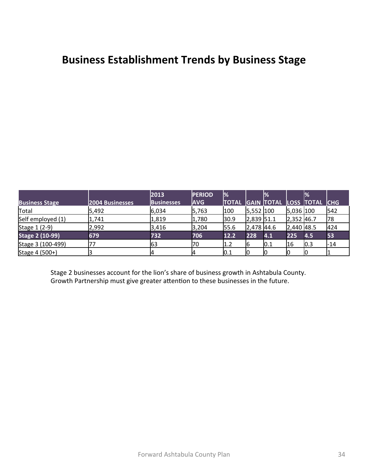#### **Business Establishment Trends by Business Stage**

|                        |                 | 2013              | <b>PERIOD</b> | $\frac{9}{6}$ |                                | $\frac{1}{2}$ |                | $\mathbb{R}$              |       |
|------------------------|-----------------|-------------------|---------------|---------------|--------------------------------|---------------|----------------|---------------------------|-------|
| <b>Business Stage</b>  | 2004 Businesses | <b>Businesses</b> | <b>AVG</b>    | <b>TOTAL</b>  |                                |               |                | GAIN TOTAL LOSS TOTAL CHG |       |
| Total                  | 5,492           | 6,034             | 5,763         | 100           | $5,552$  100                   |               | 5,036 100      |                           | 542   |
| Self employed (1)      | 1,741           | 1,819             | 1,780         | 30.9          | $2,839$ 51.1                   |               | $2,352$ 46.7   |                           | 78    |
| Stage 1 (2-9)          | 2,992           | 3,416             | 3,204         | 55.6          | $\vert 2,478 \vert 44.6 \vert$ |               | $[2,440]$ 48.5 |                           | 424   |
| <b>Stage 2 (10-99)</b> | 679             | 732               | 706           | 12.2          | 228                            | 4.1           | 225            | 4.5                       | 53    |
| Stage 3 (100-499)      |                 | 63                | 70            | 1.2           | 16                             | 0.1           | 16             | 0.3                       | $-14$ |
| Stage 4 (500+)         |                 |                   |               | 0.1           |                                |               |                |                           |       |

Stage 2 businesses account for the lion's share of business growth in Ashtabula County. Growth Partnership must give greater attention to these businesses in the future.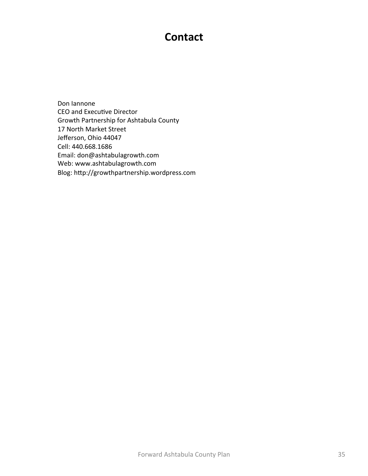#### **Contact**

Don lannone CEO and Executive Director Growth Partnership for Ashtabula County 17 North Market Street Jefferson, Ohio 44047 Cell: 440.668.1686 Email: don@ashtabulagrowth.com Web: www.ashtabulagrowth.com Blog: http://growthpartnership.wordpress.com